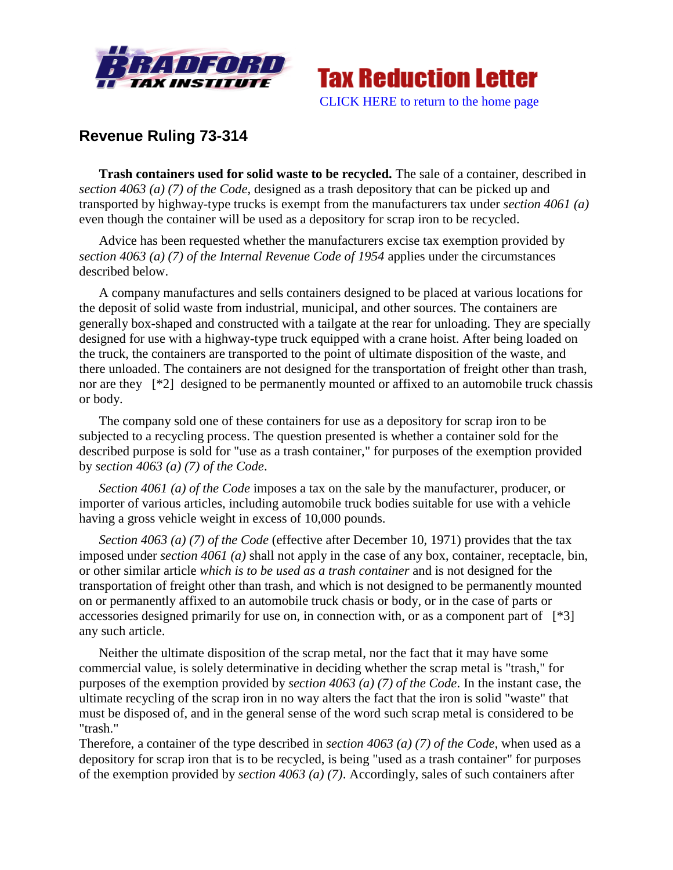



## **Revenue Ruling 73-314**

**Trash containers used for solid waste to be recycled.** The sale of a container, described in *section 4063 (a) (7) of the Code*, designed as a trash depository that can be picked up and transported by highway-type trucks is exempt from the manufacturers tax under *section 4061 (a)* even though the container will be used as a depository for scrap iron to be recycled.

Advice has been requested whether the manufacturers excise tax exemption provided by *section 4063 (a) (7) of the Internal Revenue Code of 1954* applies under the circumstances described below.

A company manufactures and sells containers designed to be placed at various locations for the deposit of solid waste from industrial, municipal, and other sources. The containers are generally box-shaped and constructed with a tailgate at the rear for unloading. They are specially designed for use with a highway-type truck equipped with a crane hoist. After being loaded on the truck, the containers are transported to the point of ultimate disposition of the waste, and there unloaded. The containers are not designed for the transportation of freight other than trash, nor are they [<sup>\*2</sup>] designed to be permanently mounted or affixed to an automobile truck chassis or body.

The company sold one of these containers for use as a depository for scrap iron to be subjected to a recycling process. The question presented is whether a container sold for the described purpose is sold for "use as a trash container," for purposes of the exemption provided by *section 4063 (a) (7) of the Code*.

*Section 4061 (a) of the Code* imposes a tax on the sale by the manufacturer, producer, or importer of various articles, including automobile truck bodies suitable for use with a vehicle having a gross vehicle weight in excess of 10,000 pounds.

*Section 4063 (a) (7) of the Code* (effective after December 10, 1971) provides that the tax imposed under *section 4061 (a)* shall not apply in the case of any box, container, receptacle, bin, or other similar article *which is to be used as a trash container* and is not designed for the transportation of freight other than trash, and which is not designed to be permanently mounted on or permanently affixed to an automobile truck chasis or body, or in the case of parts or accessories designed primarily for use on, in connection with, or as a component part of [\*3] any such article.

Neither the ultimate disposition of the scrap metal, nor the fact that it may have some commercial value, is solely determinative in deciding whether the scrap metal is "trash," for purposes of the exemption provided by *section 4063 (a) (7) of the Code*. In the instant case, the ultimate recycling of the scrap iron in no way alters the fact that the iron is solid "waste" that must be disposed of, and in the general sense of the word such scrap metal is considered to be "trash."

Therefore, a container of the type described in *section 4063 (a) (7) of the Code*, when used as a depository for scrap iron that is to be recycled, is being "used as a trash container" for purposes of the exemption provided by *section 4063 (a) (7)*. Accordingly, sales of such containers after